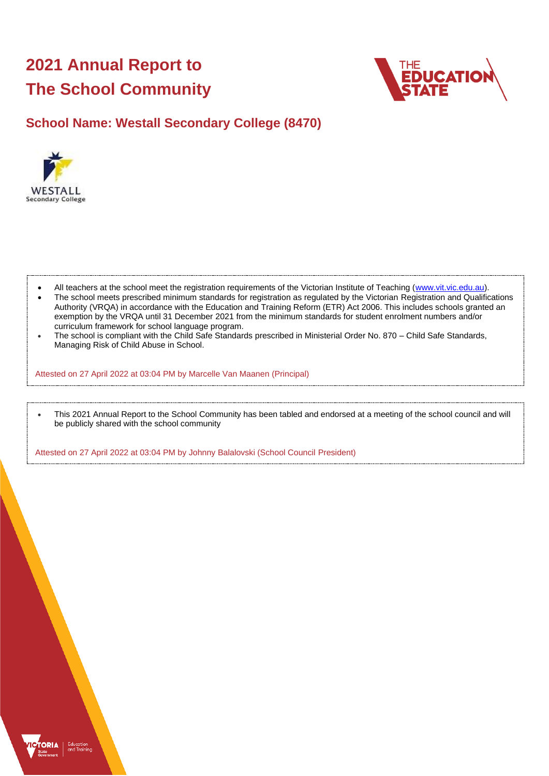# **2021 Annual Report to The School Community**



# **School Name: Westall Secondary College (8470)**



- All teachers at the school meet the registration requirements of the Victorian Institute of Teaching [\(www.vit.vic.edu.au\)](https://www.vit.vic.edu.au/).
- The school meets prescribed minimum standards for registration as regulated by the Victorian Registration and Qualifications Authority (VRQA) in accordance with the Education and Training Reform (ETR) Act 2006. This includes schools granted an exemption by the VRQA until 31 December 2021 from the minimum standards for student enrolment numbers and/or curriculum framework for school language program.
- The school is compliant with the Child Safe Standards prescribed in Ministerial Order No. 870 Child Safe Standards, Managing Risk of Child Abuse in School.

Attested on 27 April 2022 at 03:04 PM by Marcelle Van Maanen (Principal)

• This 2021 Annual Report to the School Community has been tabled and endorsed at a meeting of the school council and will be publicly shared with the school community

Attested on 27 April 2022 at 03:04 PM by Johnny Balalovski (School Council President)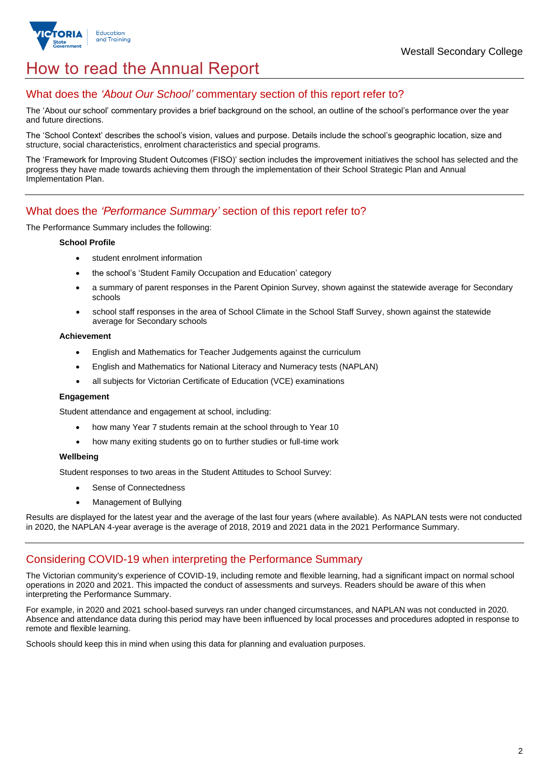

# How to read the Annual Report

### What does the *'About Our School'* commentary section of this report refer to?

The 'About our school' commentary provides a brief background on the school, an outline of the school's performance over the year and future directions.

The 'School Context' describes the school's vision, values and purpose. Details include the school's geographic location, size and structure, social characteristics, enrolment characteristics and special programs.

The 'Framework for Improving Student Outcomes (FISO)' section includes the improvement initiatives the school has selected and the progress they have made towards achieving them through the implementation of their School Strategic Plan and Annual Implementation Plan.

### What does the *'Performance Summary'* section of this report refer to?

The Performance Summary includes the following:

#### **School Profile**

- student enrolment information
- the school's 'Student Family Occupation and Education' category
- a summary of parent responses in the Parent Opinion Survey, shown against the statewide average for Secondary schools
- school staff responses in the area of School Climate in the School Staff Survey, shown against the statewide average for Secondary schools

#### **Achievement**

- English and Mathematics for Teacher Judgements against the curriculum
- English and Mathematics for National Literacy and Numeracy tests (NAPLAN)
- all subjects for Victorian Certificate of Education (VCE) examinations

#### **Engagement**

Student attendance and engagement at school, including:

- how many Year 7 students remain at the school through to Year 10
- how many exiting students go on to further studies or full-time work

#### **Wellbeing**

Student responses to two areas in the Student Attitudes to School Survey:

- Sense of Connectedness
- Management of Bullying

Results are displayed for the latest year and the average of the last four years (where available). As NAPLAN tests were not conducted in 2020, the NAPLAN 4-year average is the average of 2018, 2019 and 2021 data in the 2021 Performance Summary.

### Considering COVID-19 when interpreting the Performance Summary

The Victorian community's experience of COVID-19, including remote and flexible learning, had a significant impact on normal school operations in 2020 and 2021. This impacted the conduct of assessments and surveys. Readers should be aware of this when interpreting the Performance Summary.

For example, in 2020 and 2021 school-based surveys ran under changed circumstances, and NAPLAN was not conducted in 2020. Absence and attendance data during this period may have been influenced by local processes and procedures adopted in response to remote and flexible learning.

Schools should keep this in mind when using this data for planning and evaluation purposes.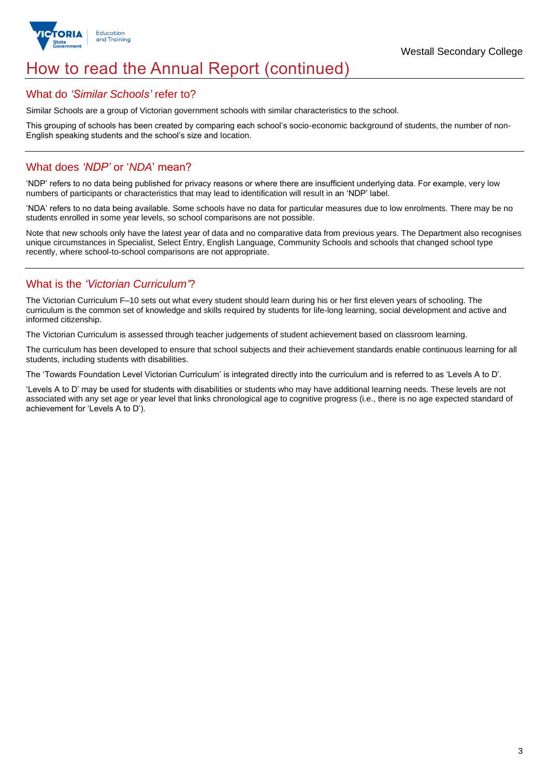

# How to read the Annual Report (continued)

### What do *'Similar Schools'* refer to?

Similar Schools are a group of Victorian government schools with similar characteristics to the school.

This grouping of schools has been created by comparing each school's socio-economic background of students, the number of non-English speaking students and the school's size and location.

### What does *'NDP'* or '*NDA*' mean?

'NDP' refers to no data being published for privacy reasons or where there are insufficient underlying data. For example, very low numbers of participants or characteristics that may lead to identification will result in an 'NDP' label.

'NDA' refers to no data being available. Some schools have no data for particular measures due to low enrolments. There may be no students enrolled in some year levels, so school comparisons are not possible.

Note that new schools only have the latest year of data and no comparative data from previous years. The Department also recognises unique circumstances in Specialist, Select Entry, English Language, Community Schools and schools that changed school type recently, where school-to-school comparisons are not appropriate.

## What is the *'Victorian Curriculum'*?

The Victorian Curriculum F–10 sets out what every student should learn during his or her first eleven years of schooling. The curriculum is the common set of knowledge and skills required by students for life-long learning, social development and active and informed citizenship.

The Victorian Curriculum is assessed through teacher judgements of student achievement based on classroom learning.

The curriculum has been developed to ensure that school subjects and their achievement standards enable continuous learning for all students, including students with disabilities.

The 'Towards Foundation Level Victorian Curriculum' is integrated directly into the curriculum and is referred to as 'Levels A to D'.

'Levels A to D' may be used for students with disabilities or students who may have additional learning needs. These levels are not associated with any set age or year level that links chronological age to cognitive progress (i.e., there is no age expected standard of achievement for 'Levels A to D').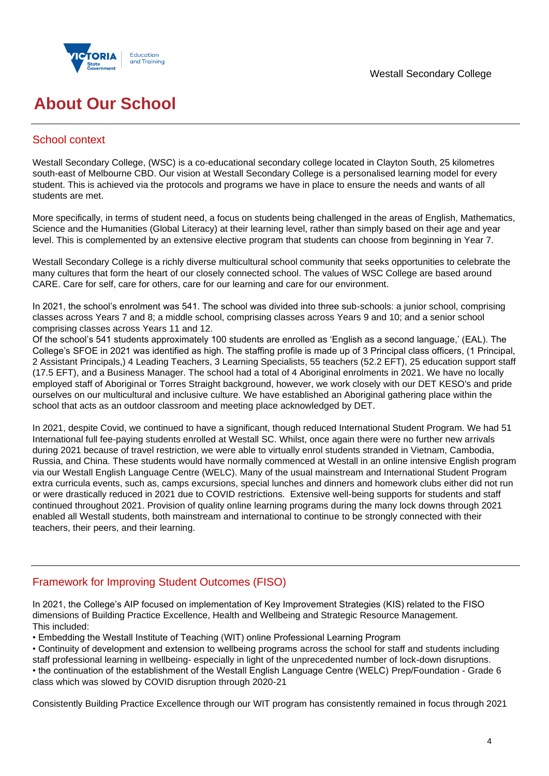

# **About Our School**

## School context

Westall Secondary College, (WSC) is a co-educational secondary college located in Clayton South, 25 kilometres south-east of Melbourne CBD. Our vision at Westall Secondary College is a personalised learning model for every student. This is achieved via the protocols and programs we have in place to ensure the needs and wants of all students are met.

More specifically, in terms of student need, a focus on students being challenged in the areas of English, Mathematics, Science and the Humanities (Global Literacy) at their learning level, rather than simply based on their age and year level. This is complemented by an extensive elective program that students can choose from beginning in Year 7.

Westall Secondary College is a richly diverse multicultural school community that seeks opportunities to celebrate the many cultures that form the heart of our closely connected school. The values of WSC College are based around CARE. Care for self, care for others, care for our learning and care for our environment.

In 2021, the school's enrolment was 541. The school was divided into three sub-schools: a junior school, comprising classes across Years 7 and 8; a middle school, comprising classes across Years 9 and 10; and a senior school comprising classes across Years 11 and 12.

Of the school's 541 students approximately 100 students are enrolled as 'English as a second language,' (EAL). The College's SFOE in 2021 was identified as high. The staffing profile is made up of 3 Principal class officers, (1 Principal, 2 Assistant Principals,) 4 Leading Teachers, 3 Learning Specialists, 55 teachers (52.2 EFT), 25 education support staff (17.5 EFT), and a Business Manager. The school had a total of 4 Aboriginal enrolments in 2021. We have no locally employed staff of Aboriginal or Torres Straight background, however, we work closely with our DET KESO's and pride ourselves on our multicultural and inclusive culture. We have established an Aboriginal gathering place within the school that acts as an outdoor classroom and meeting place acknowledged by DET.

In 2021, despite Covid, we continued to have a significant, though reduced International Student Program. We had 51 International full fee-paying students enrolled at Westall SC. Whilst, once again there were no further new arrivals during 2021 because of travel restriction, we were able to virtually enrol students stranded in Vietnam, Cambodia, Russia, and China. These students would have normally commenced at Westall in an online intensive English program via our Westall English Language Centre (WELC). Many of the usual mainstream and International Student Program extra curricula events, such as, camps excursions, special lunches and dinners and homework clubs either did not run or were drastically reduced in 2021 due to COVID restrictions. Extensive well-being supports for students and staff continued throughout 2021. Provision of quality online learning programs during the many lock downs through 2021 enabled all Westall students, both mainstream and international to continue to be strongly connected with their teachers, their peers, and their learning.

## Framework for Improving Student Outcomes (FISO)

In 2021, the College's AIP focused on implementation of Key Improvement Strategies (KIS) related to the FISO dimensions of Building Practice Excellence, Health and Wellbeing and Strategic Resource Management. This included:

• Embedding the Westall Institute of Teaching (WIT) online Professional Learning Program

• Continuity of development and extension to wellbeing programs across the school for staff and students including

staff professional learning in wellbeing- especially in light of the unprecedented number of lock-down disruptions. • the continuation of the establishment of the Westall English Language Centre (WELC) Prep/Foundation - Grade 6

class which was slowed by COVID disruption through 2020-21

Consistently Building Practice Excellence through our WIT program has consistently remained in focus through 2021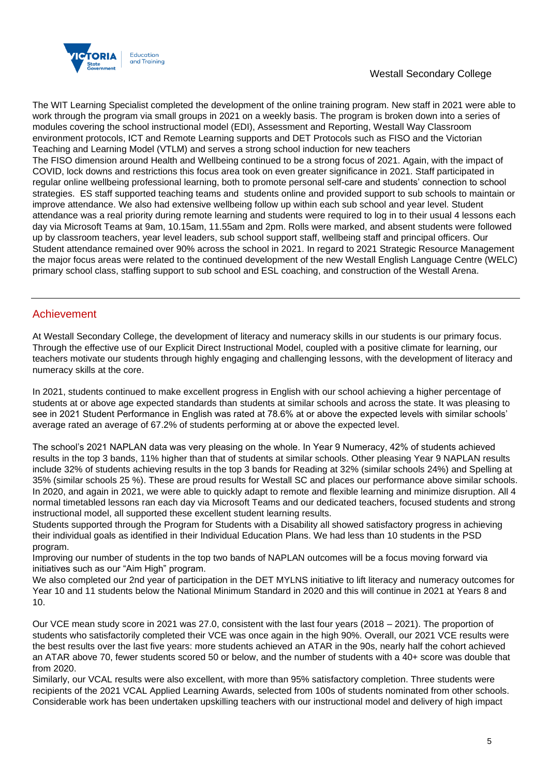

The WIT Learning Specialist completed the development of the online training program. New staff in 2021 were able to work through the program via small groups in 2021 on a weekly basis. The program is broken down into a series of modules covering the school instructional model (EDI), Assessment and Reporting, Westall Way Classroom environment protocols, ICT and Remote Learning supports and DET Protocols such as FISO and the Victorian Teaching and Learning Model (VTLM) and serves a strong school induction for new teachers The FISO dimension around Health and Wellbeing continued to be a strong focus of 2021. Again, with the impact of COVID, lock downs and restrictions this focus area took on even greater significance in 2021. Staff participated in regular online wellbeing professional learning, both to promote personal self-care and students' connection to school strategies. ES staff supported teaching teams and students online and provided support to sub schools to maintain or improve attendance. We also had extensive wellbeing follow up within each sub school and year level. Student attendance was a real priority during remote learning and students were required to log in to their usual 4 lessons each day via Microsoft Teams at 9am, 10.15am, 11.55am and 2pm. Rolls were marked, and absent students were followed up by classroom teachers, year level leaders, sub school support staff, wellbeing staff and principal officers. Our Student attendance remained over 90% across the school in 2021. In regard to 2021 Strategic Resource Management the major focus areas were related to the continued development of the new Westall English Language Centre (WELC) primary school class, staffing support to sub school and ESL coaching, and construction of the Westall Arena.

## Achievement

At Westall Secondary College, the development of literacy and numeracy skills in our students is our primary focus. Through the effective use of our Explicit Direct Instructional Model, coupled with a positive climate for learning, our teachers motivate our students through highly engaging and challenging lessons, with the development of literacy and numeracy skills at the core.

In 2021, students continued to make excellent progress in English with our school achieving a higher percentage of students at or above age expected standards than students at similar schools and across the state. It was pleasing to see in 2021 Student Performance in English was rated at 78.6% at or above the expected levels with similar schools' average rated an average of 67.2% of students performing at or above the expected level.

The school's 2021 NAPLAN data was very pleasing on the whole. In Year 9 Numeracy, 42% of students achieved results in the top 3 bands, 11% higher than that of students at similar schools. Other pleasing Year 9 NAPLAN results include 32% of students achieving results in the top 3 bands for Reading at 32% (similar schools 24%) and Spelling at 35% (similar schools 25 %). These are proud results for Westall SC and places our performance above similar schools. In 2020, and again in 2021, we were able to quickly adapt to remote and flexible learning and minimize disruption. All 4 normal timetabled lessons ran each day via Microsoft Teams and our dedicated teachers, focused students and strong instructional model, all supported these excellent student learning results.

Students supported through the Program for Students with a Disability all showed satisfactory progress in achieving their individual goals as identified in their Individual Education Plans. We had less than 10 students in the PSD program.

Improving our number of students in the top two bands of NAPLAN outcomes will be a focus moving forward via initiatives such as our "Aim High" program.

We also completed our 2nd year of participation in the DET MYLNS initiative to lift literacy and numeracy outcomes for Year 10 and 11 students below the National Minimum Standard in 2020 and this will continue in 2021 at Years 8 and 10.

Our VCE mean study score in 2021 was 27.0, consistent with the last four years (2018 – 2021). The proportion of students who satisfactorily completed their VCE was once again in the high 90%. Overall, our 2021 VCE results were the best results over the last five years: more students achieved an ATAR in the 90s, nearly half the cohort achieved an ATAR above 70, fewer students scored 50 or below, and the number of students with a 40+ score was double that from 2020.

Similarly, our VCAL results were also excellent, with more than 95% satisfactory completion. Three students were recipients of the 2021 VCAL Applied Learning Awards, selected from 100s of students nominated from other schools. Considerable work has been undertaken upskilling teachers with our instructional model and delivery of high impact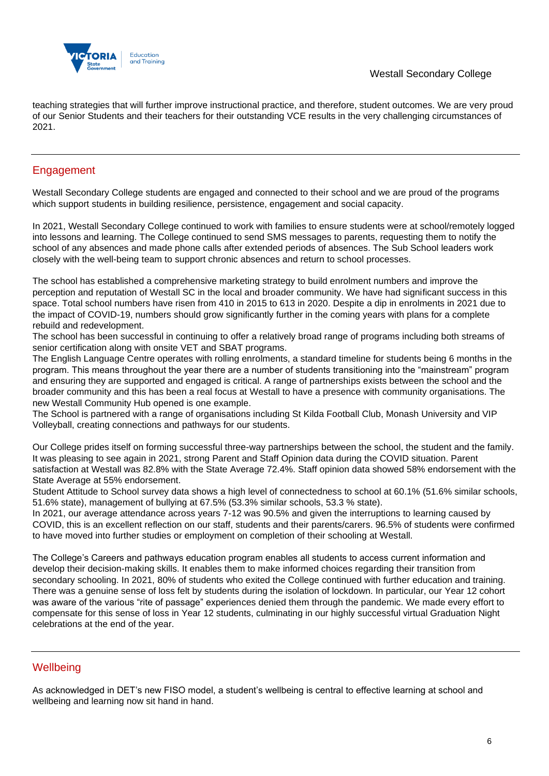

teaching strategies that will further improve instructional practice, and therefore, student outcomes. We are very proud of our Senior Students and their teachers for their outstanding VCE results in the very challenging circumstances of 2021.

## Engagement

Westall Secondary College students are engaged and connected to their school and we are proud of the programs which support students in building resilience, persistence, engagement and social capacity.

In 2021, Westall Secondary College continued to work with families to ensure students were at school/remotely logged into lessons and learning. The College continued to send SMS messages to parents, requesting them to notify the school of any absences and made phone calls after extended periods of absences. The Sub School leaders work closely with the well-being team to support chronic absences and return to school processes.

The school has established a comprehensive marketing strategy to build enrolment numbers and improve the perception and reputation of Westall SC in the local and broader community. We have had significant success in this space. Total school numbers have risen from 410 in 2015 to 613 in 2020. Despite a dip in enrolments in 2021 due to the impact of COVID-19, numbers should grow significantly further in the coming years with plans for a complete rebuild and redevelopment.

The school has been successful in continuing to offer a relatively broad range of programs including both streams of senior certification along with onsite VET and SBAT programs.

The English Language Centre operates with rolling enrolments, a standard timeline for students being 6 months in the program. This means throughout the year there are a number of students transitioning into the "mainstream" program and ensuring they are supported and engaged is critical. A range of partnerships exists between the school and the broader community and this has been a real focus at Westall to have a presence with community organisations. The new Westall Community Hub opened is one example.

The School is partnered with a range of organisations including St Kilda Football Club, Monash University and VIP Volleyball, creating connections and pathways for our students.

Our College prides itself on forming successful three-way partnerships between the school, the student and the family. It was pleasing to see again in 2021, strong Parent and Staff Opinion data during the COVID situation. Parent satisfaction at Westall was 82.8% with the State Average 72.4%. Staff opinion data showed 58% endorsement with the State Average at 55% endorsement.

Student Attitude to School survey data shows a high level of connectedness to school at 60.1% (51.6% similar schools, 51.6% state), management of bullying at 67.5% (53.3% similar schools, 53.3 % state).

In 2021, our average attendance across years 7-12 was 90.5% and given the interruptions to learning caused by COVID, this is an excellent reflection on our staff, students and their parents/carers. 96.5% of students were confirmed to have moved into further studies or employment on completion of their schooling at Westall.

The College's Careers and pathways education program enables all students to access current information and develop their decision-making skills. It enables them to make informed choices regarding their transition from secondary schooling. In 2021, 80% of students who exited the College continued with further education and training. There was a genuine sense of loss felt by students during the isolation of lockdown. In particular, our Year 12 cohort was aware of the various "rite of passage" experiences denied them through the pandemic. We made every effort to compensate for this sense of loss in Year 12 students, culminating in our highly successful virtual Graduation Night celebrations at the end of the year.

## **Wellbeing**

As acknowledged in DET's new FISO model, a student's wellbeing is central to effective learning at school and wellbeing and learning now sit hand in hand.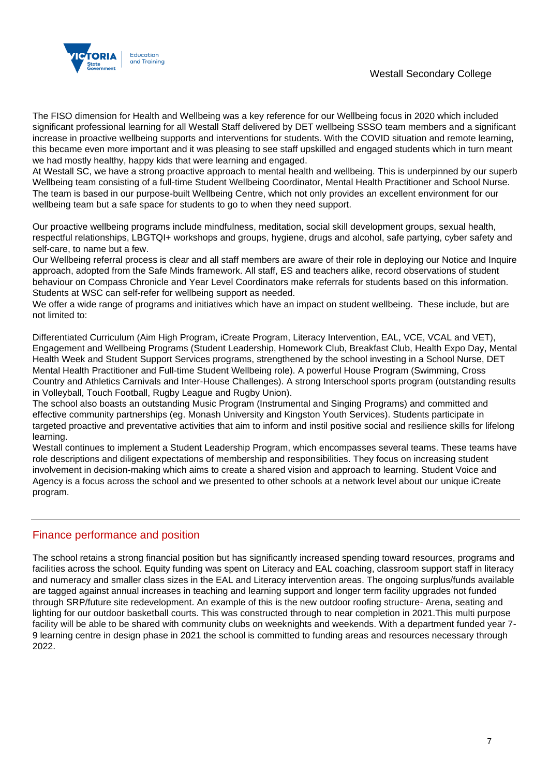### Westall Secondary College



The FISO dimension for Health and Wellbeing was a key reference for our Wellbeing focus in 2020 which included significant professional learning for all Westall Staff delivered by DET wellbeing SSSO team members and a significant increase in proactive wellbeing supports and interventions for students. With the COVID situation and remote learning, this became even more important and it was pleasing to see staff upskilled and engaged students which in turn meant we had mostly healthy, happy kids that were learning and engaged.

At Westall SC, we have a strong proactive approach to mental health and wellbeing. This is underpinned by our superb Wellbeing team consisting of a full-time Student Wellbeing Coordinator, Mental Health Practitioner and School Nurse. The team is based in our purpose-built Wellbeing Centre, which not only provides an excellent environment for our wellbeing team but a safe space for students to go to when they need support.

Our proactive wellbeing programs include mindfulness, meditation, social skill development groups, sexual health, respectful relationships, LBGTQI+ workshops and groups, hygiene, drugs and alcohol, safe partying, cyber safety and self-care, to name but a few.

Our Wellbeing referral process is clear and all staff members are aware of their role in deploying our Notice and Inquire approach, adopted from the Safe Minds framework. All staff, ES and teachers alike, record observations of student behaviour on Compass Chronicle and Year Level Coordinators make referrals for students based on this information. Students at WSC can self-refer for wellbeing support as needed.

We offer a wide range of programs and initiatives which have an impact on student wellbeing. These include, but are not limited to:

Differentiated Curriculum (Aim High Program, iCreate Program, Literacy Intervention, EAL, VCE, VCAL and VET), Engagement and Wellbeing Programs (Student Leadership, Homework Club, Breakfast Club, Health Expo Day, Mental Health Week and Student Support Services programs, strengthened by the school investing in a School Nurse, DET Mental Health Practitioner and Full-time Student Wellbeing role). A powerful House Program (Swimming, Cross Country and Athletics Carnivals and Inter-House Challenges). A strong Interschool sports program (outstanding results in Volleyball, Touch Football, Rugby League and Rugby Union).

The school also boasts an outstanding Music Program (Instrumental and Singing Programs) and committed and effective community partnerships (eg. Monash University and Kingston Youth Services). Students participate in targeted proactive and preventative activities that aim to inform and instil positive social and resilience skills for lifelong learning.

Westall continues to implement a Student Leadership Program, which encompasses several teams. These teams have role descriptions and diligent expectations of membership and responsibilities. They focus on increasing student involvement in decision-making which aims to create a shared vision and approach to learning. Student Voice and Agency is a focus across the school and we presented to other schools at a network level about our unique iCreate program.

## Finance performance and position

The school retains a strong financial position but has significantly increased spending toward resources, programs and facilities across the school. Equity funding was spent on Literacy and EAL coaching, classroom support staff in literacy and numeracy and smaller class sizes in the EAL and Literacy intervention areas. The ongoing surplus/funds available are tagged against annual increases in teaching and learning support and longer term facility upgrades not funded through SRP/future site redevelopment. An example of this is the new outdoor roofing structure- Arena, seating and lighting for our outdoor basketball courts. This was constructed through to near completion in 2021.This multi purpose facility will be able to be shared with community clubs on weeknights and weekends. With a department funded year 7- 9 learning centre in design phase in 2021 the school is committed to funding areas and resources necessary through 2022.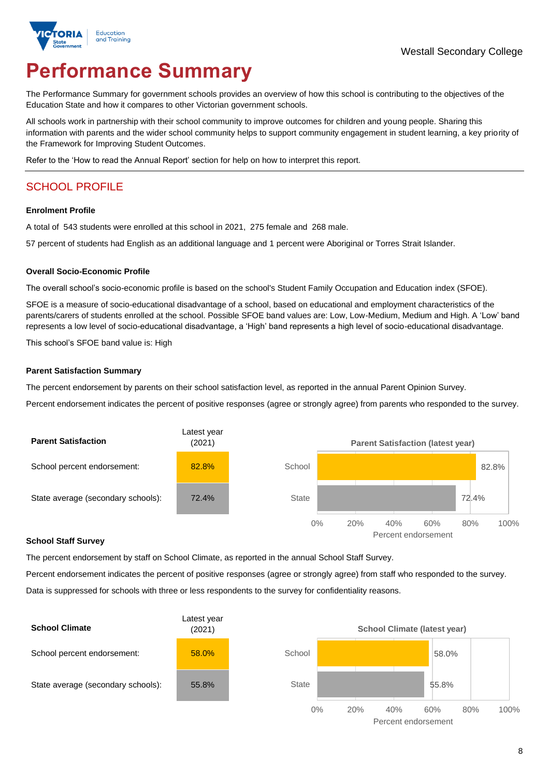

# **Performance Summary**

The Performance Summary for government schools provides an overview of how this school is contributing to the objectives of the Education State and how it compares to other Victorian government schools.

All schools work in partnership with their school community to improve outcomes for children and young people. Sharing this information with parents and the wider school community helps to support community engagement in student learning, a key priority of the Framework for Improving Student Outcomes.

Refer to the 'How to read the Annual Report' section for help on how to interpret this report.

## SCHOOL PROFILE

#### **Enrolment Profile**

A total of 543 students were enrolled at this school in 2021, 275 female and 268 male.

57 percent of students had English as an additional language and 1 percent were Aboriginal or Torres Strait Islander.

#### **Overall Socio-Economic Profile**

The overall school's socio-economic profile is based on the school's Student Family Occupation and Education index (SFOE).

SFOE is a measure of socio-educational disadvantage of a school, based on educational and employment characteristics of the parents/carers of students enrolled at the school. Possible SFOE band values are: Low, Low-Medium, Medium and High. A 'Low' band represents a low level of socio-educational disadvantage, a 'High' band represents a high level of socio-educational disadvantage.

This school's SFOE band value is: High

#### **Parent Satisfaction Summary**

The percent endorsement by parents on their school satisfaction level, as reported in the annual Parent Opinion Survey.

Percent endorsement indicates the percent of positive responses (agree or strongly agree) from parents who responded to the survey.



#### **School Staff Survey**

The percent endorsement by staff on School Climate, as reported in the annual School Staff Survey.

Percent endorsement indicates the percent of positive responses (agree or strongly agree) from staff who responded to the survey. Data is suppressed for schools with three or less respondents to the survey for confidentiality reasons.

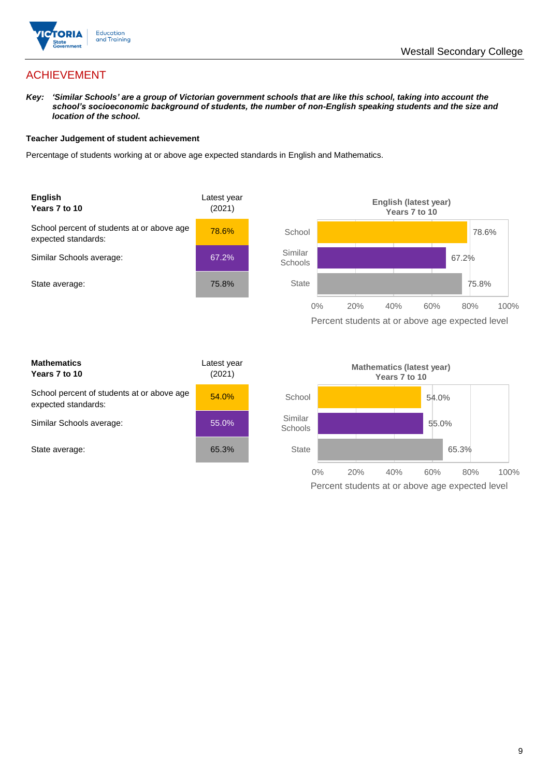

## ACHIEVEMENT

*Key: 'Similar Schools' are a group of Victorian government schools that are like this school, taking into account the school's socioeconomic background of students, the number of non-English speaking students and the size and location of the school.*

#### **Teacher Judgement of student achievement**

Percentage of students working at or above age expected standards in English and Mathematics.





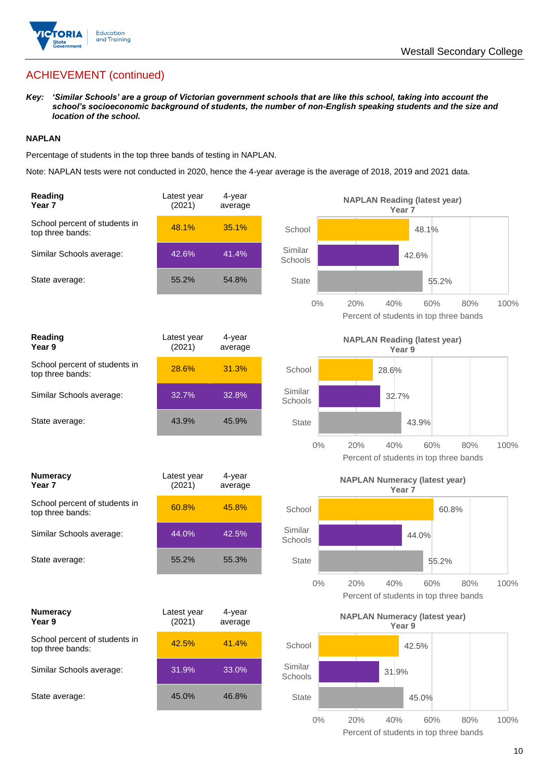

## ACHIEVEMENT (continued)

*Key: 'Similar Schools' are a group of Victorian government schools that are like this school, taking into account the school's socioeconomic background of students, the number of non-English speaking students and the size and location of the school.*

#### **NAPLAN**

Percentage of students in the top three bands of testing in NAPLAN.

Note: NAPLAN tests were not conducted in 2020, hence the 4-year average is the average of 2018, 2019 and 2021 data.

| Reading<br>Year 7                                 | Latest year<br>(2021) | 4-year<br>average | <b>NAPLAN Reading (latest year)</b><br>Year <sub>7</sub>                            |
|---------------------------------------------------|-----------------------|-------------------|-------------------------------------------------------------------------------------|
| School percent of students in<br>top three bands: | 48.1%                 | 35.1%             | School<br>48.1%                                                                     |
| Similar Schools average:                          | 42.6%                 | 41.4%             | Similar<br>42.6%<br>Schools                                                         |
| State average:                                    | 55.2%                 | 54.8%             | <b>State</b><br>55.2%                                                               |
|                                                   |                       |                   | $0\%$<br>20%<br>40%<br>60%<br>80%<br>100%<br>Percent of students in top three bands |
| Reading<br>Year 9                                 | Latest year<br>(2021) | 4-year<br>average | <b>NAPLAN Reading (latest year)</b><br>Year <sub>9</sub>                            |
| School percent of students in<br>top three bands: | 28.6%                 | 31.3%             | School<br>28.6%                                                                     |
| Similar Schools average:                          | 32.7%                 | 32.8%             | Similar<br>32.7%<br>Schools                                                         |
| State average:                                    | 43.9%                 | 45.9%             | <b>State</b><br>43.9%                                                               |
|                                                   |                       |                   | $0\%$<br>20%<br>40%<br>60%<br>100%<br>80%<br>Percent of students in top three bands |
| <b>Numeracy</b><br>Year <sub>7</sub>              | Latest year<br>(2021) | 4-year<br>average | <b>NAPLAN Numeracy (latest year)</b><br>Year <sub>7</sub>                           |
| School percent of students in<br>top three bands: | 60.8%                 | 45.8%             | School<br>60.8%                                                                     |
| Similar Schools average:                          | 44.0%                 | 42.5%             | Similar<br>44.0%<br>Schools                                                         |
| State average:                                    | 55.2%                 | 55.3%             | <b>State</b><br>55.2%                                                               |
|                                                   |                       |                   | $0\%$<br>20%<br>40%<br>60%<br>80%<br>100%<br>Percent of students in top three bands |
| <b>Numeracy</b><br>Year 9                         | Latest year<br>(2021) | 4-year<br>average | <b>NAPLAN Numeracy (latest year)</b><br>Year 9                                      |
| School percent of students in<br>top three bands: | 42.5%                 | 41.4%             | School<br>42.5%                                                                     |
| Similar Schools average:                          | 31.9%                 | 33.0%             | Similar<br>31.9%<br>Schools                                                         |
| State average:                                    | 45.0%                 | 46.8%             | State<br>45.0%                                                                      |
|                                                   |                       |                   |                                                                                     |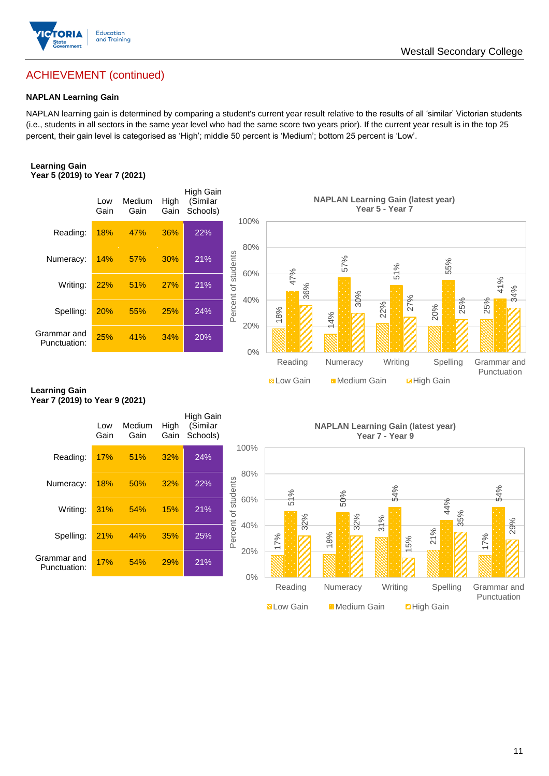

## ACHIEVEMENT (continued)

#### **NAPLAN Learning Gain**

NAPLAN learning gain is determined by comparing a student's current year result relative to the results of all 'similar' Victorian students (i.e., students in all sectors in the same year level who had the same score two years prior). If the current year result is in the top 25 percent, their gain level is categorised as 'High'; middle 50 percent is 'Medium'; bottom 25 percent is 'Low'.

#### **Learning Gain Year 5 (2019) to Year 7 (2021)**



#### **Learning Gain Year 7 (2019) to Year 9 (2021)**

|                             | Low<br>Gain | Medium<br>Gain | High<br>Gain | High Gain<br>(Similar<br>Schools) |                            |     |
|-----------------------------|-------------|----------------|--------------|-----------------------------------|----------------------------|-----|
| Reading:                    | 17%         | 51%            | 32%          | 24%                               | 100%                       |     |
| Numeracy:                   | 18%         | 50%            | 32%          | 22%                               | 80%                        |     |
| Writing:                    | 31%         | 54%            | 15%          | 21%                               | Percent of students<br>60% |     |
| Spelling:                   | 21%         | 44%            | 35%          | 25%                               | 40%                        | 17% |
| Grammar and<br>Punctuation: | 17%         | 54%            | 29%          | 21%                               | 20%                        |     |
|                             |             |                |              |                                   | 0%                         |     |

**NAPLAN Learning Gain (latest year) Year 7 - Year 9**

**N** Low Gain **Medium Gain E** High Gain

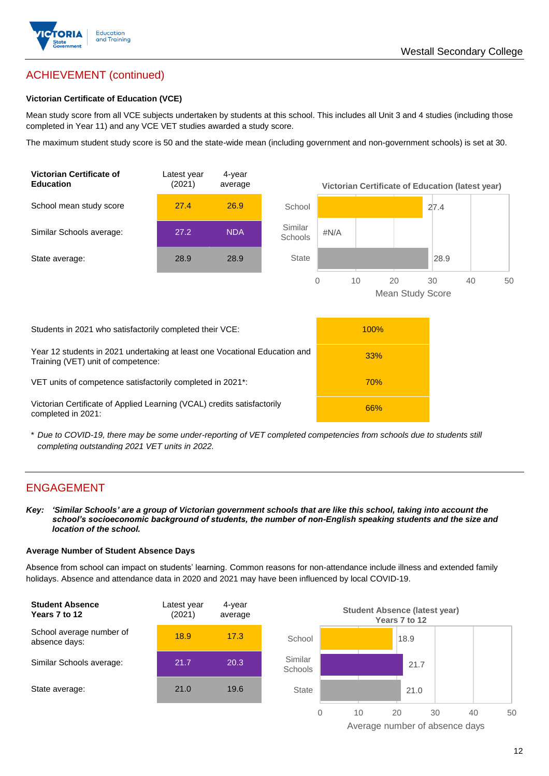

# ACHIEVEMENT (continued)

#### **Victorian Certificate of Education (VCE)**

Mean study score from all VCE subjects undertaken by students at this school. This includes all Unit 3 and 4 studies (including those completed in Year 11) and any VCE VET studies awarded a study score.

The maximum student study score is 50 and the state-wide mean (including government and non-government schools) is set at 30.



\* *Due to COVID-19, there may be some under-reporting of VET completed competencies from schools due to students still completing outstanding 2021 VET units in 2022.*

## ENGAGEMENT

*Key: 'Similar Schools' are a group of Victorian government schools that are like this school, taking into account the school's socioeconomic background of students, the number of non-English speaking students and the size and location of the school.*

#### **Average Number of Student Absence Days**

Absence from school can impact on students' learning. Common reasons for non-attendance include illness and extended family holidays. Absence and attendance data in 2020 and 2021 may have been influenced by local COVID-19.



Average number of absence days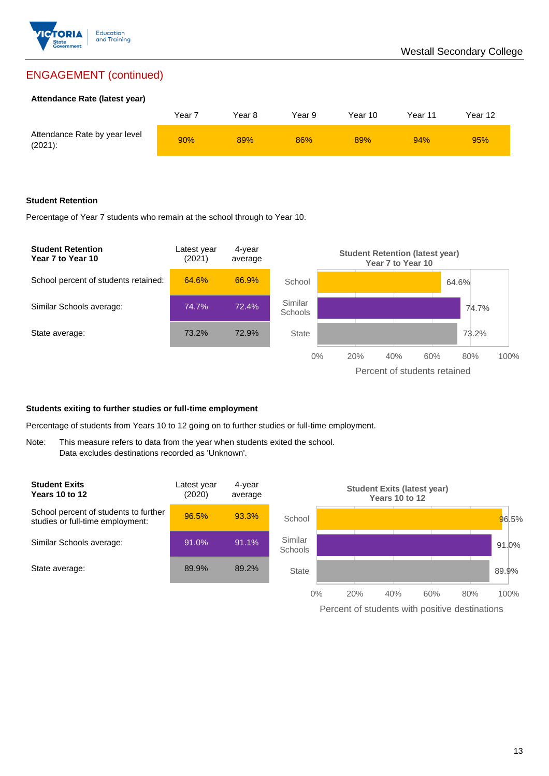

## ENGAGEMENT (continued)

#### **Attendance Rate (latest year)**

|                                             | Year <sup>-</sup> | Year 8 | Year 9 | Year 10 | Year 11 | Year 12 |
|---------------------------------------------|-------------------|--------|--------|---------|---------|---------|
| Attendance Rate by year level<br>$(2021)$ : | 90%               | 89%    | 86%    | 89%     | 94%     | 95%     |

#### **Student Retention**

Percentage of Year 7 students who remain at the school through to Year 10.



#### **Students exiting to further studies or full-time employment**

Percentage of students from Years 10 to 12 going on to further studies or full-time employment.

Note: This measure refers to data from the year when students exited the school. Data excludes destinations recorded as 'Unknown'.



Percent of students with positive destinations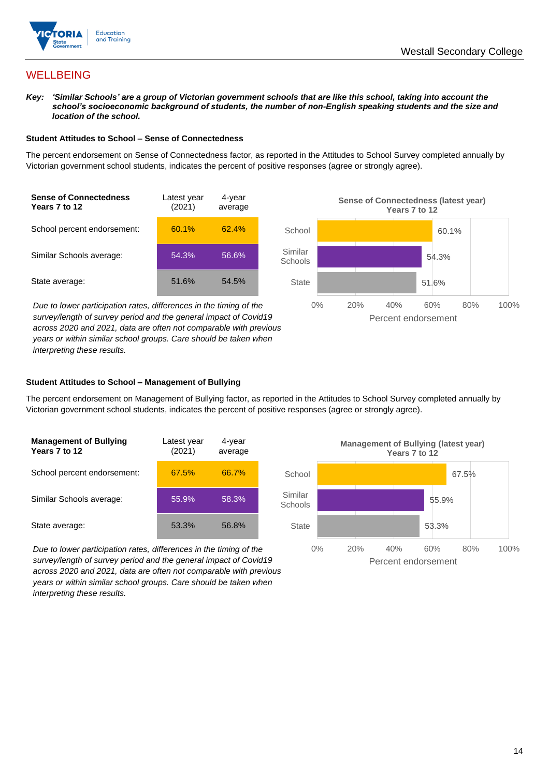

## **WELLBEING**

*Key: 'Similar Schools' are a group of Victorian government schools that are like this school, taking into account the school's socioeconomic background of students, the number of non-English speaking students and the size and location of the school.*

#### **Student Attitudes to School – Sense of Connectedness**

The percent endorsement on Sense of Connectedness factor, as reported in the Attitudes to School Survey completed annually by Victorian government school students, indicates the percent of positive responses (agree or strongly agree).



*Due to lower participation rates, differences in the timing of the survey/length of survey period and the general impact of Covid19 across 2020 and 2021, data are often not comparable with previous years or within similar school groups. Care should be taken when interpreting these results.*



#### **Student Attitudes to School – Management of Bullying**

The percent endorsement on Management of Bullying factor, as reported in the Attitudes to School Survey completed annually by Victorian government school students, indicates the percent of positive responses (agree or strongly agree).

| <b>Management of Bullying</b><br>Years 7 to 12 | Latest year<br>(2021) | 4-year<br>average |  |
|------------------------------------------------|-----------------------|-------------------|--|
| School percent endorsement:                    | 67.5%                 | 66.7%             |  |
| Similar Schools average:                       | 55.9%                 | 58.3%             |  |
| State average:                                 | 53.3%                 | 56.8%             |  |

*Due to lower participation rates, differences in the timing of the survey/length of survey period and the general impact of Covid19 across 2020 and 2021, data are often not comparable with previous years or within similar school groups. Care should be taken when interpreting these results.*

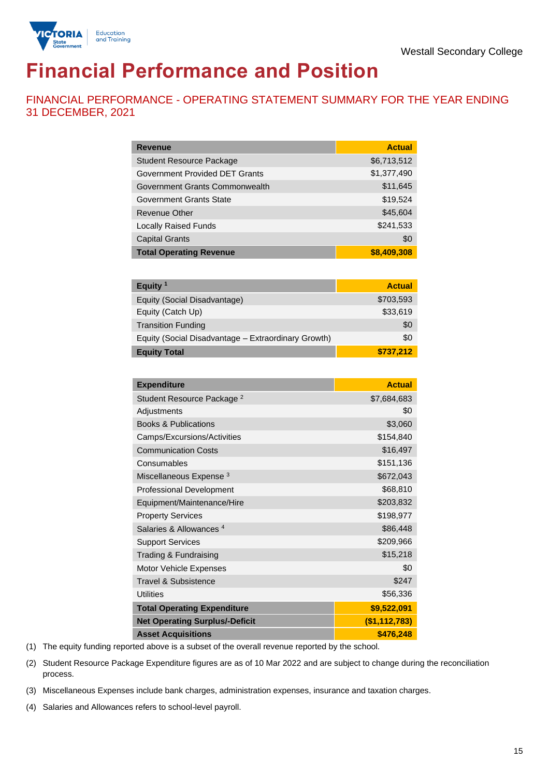

# **Financial Performance and Position**

FINANCIAL PERFORMANCE - OPERATING STATEMENT SUMMARY FOR THE YEAR ENDING 31 DECEMBER, 2021

| <b>Revenue</b>                  | <b>Actual</b> |
|---------------------------------|---------------|
| <b>Student Resource Package</b> | \$6,713,512   |
| Government Provided DET Grants  | \$1,377,490   |
| Government Grants Commonwealth  | \$11,645      |
| Government Grants State         | \$19,524      |
| Revenue Other                   | \$45,604      |
| <b>Locally Raised Funds</b>     | \$241,533     |
| <b>Capital Grants</b>           | \$0           |
| <b>Total Operating Revenue</b>  | \$8,409,308   |

| Equity $1$                                          | <b>Actual</b> |
|-----------------------------------------------------|---------------|
| Equity (Social Disadvantage)                        | \$703,593     |
| Equity (Catch Up)                                   | \$33,619      |
| <b>Transition Funding</b>                           | \$0           |
| Equity (Social Disadvantage - Extraordinary Growth) | \$0           |
| <b>Equity Total</b>                                 | \$737,212     |

| <b>Expenditure</b>                    | <b>Actual</b> |
|---------------------------------------|---------------|
| Student Resource Package <sup>2</sup> | \$7,684,683   |
| Adjustments                           | \$0           |
| <b>Books &amp; Publications</b>       | \$3,060       |
| Camps/Excursions/Activities           | \$154,840     |
| <b>Communication Costs</b>            | \$16,497      |
| Consumables                           | \$151,136     |
| Miscellaneous Expense <sup>3</sup>    | \$672,043     |
| <b>Professional Development</b>       | \$68,810      |
| Equipment/Maintenance/Hire            | \$203,832     |
| <b>Property Services</b>              | \$198,977     |
| Salaries & Allowances <sup>4</sup>    | \$86,448      |
| <b>Support Services</b>               | \$209,966     |
| Trading & Fundraising                 | \$15,218      |
| Motor Vehicle Expenses                | \$0           |
| Travel & Subsistence                  | \$247         |
| <b>Utilities</b>                      | \$56,336      |
| <b>Total Operating Expenditure</b>    | \$9,522,091   |
| <b>Net Operating Surplus/-Deficit</b> | (\$1,112,783) |
| <b>Asset Acquisitions</b>             | \$476,248     |

(1) The equity funding reported above is a subset of the overall revenue reported by the school.

(2) Student Resource Package Expenditure figures are as of 10 Mar 2022 and are subject to change during the reconciliation process.

(3) Miscellaneous Expenses include bank charges, administration expenses, insurance and taxation charges.

(4) Salaries and Allowances refers to school-level payroll.